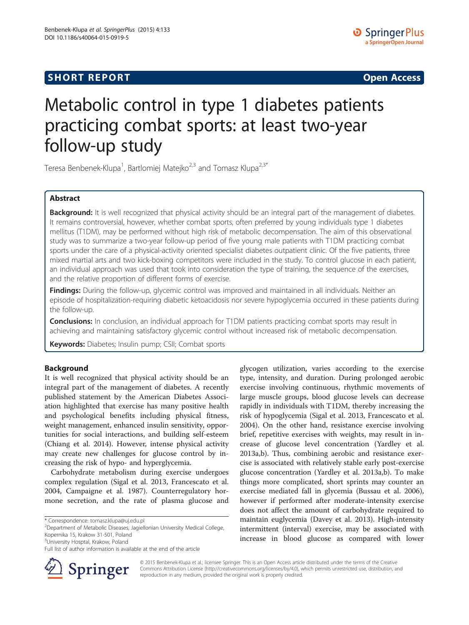## **SHORT REPORT SHORT CONSUMING THE CONSUMING THE CONSUMING THE CONSUMING THE CONSUMING THE CONSUMING THE CONSUMING THE CONSUMING THE CONSUMING THE CONSUMING THE CONSUMING THE CONSUMING THE CONSUMING THE CONSUMING THE CO**

# Metabolic control in type 1 diabetes patients practicing combat sports: at least two-year follow-up study

Teresa Benbenek-Klupa<sup>1</sup>, Bartlomiej Matejko<sup>2,3</sup> and Tomasz Klupa<sup>2,3\*</sup>

## Abstract

Background: It is well recognized that physical activity should be an integral part of the management of diabetes. It remains controversial, however, whether combat sports, often preferred by young individuals type 1 diabetes mellitus (T1DM), may be performed without high risk of metabolic decompensation. The aim of this observational study was to summarize a two-year follow-up period of five young male patients with T1DM practicing combat sports under the care of a physical-activity oriented specialist diabetes outpatient clinic. Of the five patients, three mixed martial arts and two kick-boxing competitors were included in the study. To control glucose in each patient, an individual approach was used that took into consideration the type of training, the sequence of the exercises, and the relative proportion of different forms of exercise.

Findings: During the follow-up, glycemic control was improved and maintained in all individuals. Neither an episode of hospitalization-requiring diabetic ketoacidosis nor severe hypoglycemia occurred in these patients during the follow-up.

**Conclusions:** In conclusion, an individual approach for T1DM patients practicing combat sports may result in achieving and maintaining satisfactory glycemic control without increased risk of metabolic decompensation.

Keywords: Diabetes; Insulin pump; CSII; Combat sports

## Background

It is well recognized that physical activity should be an integral part of the management of diabetes. A recently published statement by the American Diabetes Association highlighted that exercise has many positive health and psychological benefits including physical fitness, weight management, enhanced insulin sensitivity, opportunities for social interactions, and building self-esteem (Chiang et al. [2014\)](#page-4-0). However, intense physical activity may create new challenges for glucose control by increasing the risk of hypo- and hyperglycemia.

Carbohydrate metabolism during exercise undergoes complex regulation (Sigal et al. [2013](#page-4-0), Francescato et al. [2004](#page-4-0), Campaigne et al. [1987\)](#page-4-0). Counterregulatory hormone secretion, and the rate of plasma glucose and

\* Correspondence: [tomasz.klupa@uj.edu.pl](mailto:tomasz.klupa@uj.edu.pl) <sup>2</sup>

Department of Metabolic Diseases, Jagiellonian University Medical College, Kopernika 15, Krakow 31-501, Poland

<sup>3</sup>University Hosptal, Krakow, Poland

Full list of author information is available at the end of the article



glycogen utilization, varies according to the exercise type, intensity, and duration. During prolonged aerobic exercise involving continuous, rhythmic movements of large muscle groups, blood glucose levels can decrease rapidly in individuals with T1DM, thereby increasing the risk of hypoglycemia (Sigal et al. [2013,](#page-4-0) Francescato et al. [2004](#page-4-0)). On the other hand, resistance exercise involving brief, repetitive exercises with weights, may result in increase of glucose level concentration (Yardley et al. [2013a,b](#page-4-0)). Thus, combining aerobic and resistance exercise is associated with relatively stable early post-exercise glucose concentration (Yardley et al. [2013a,b](#page-4-0)). To make things more complicated, short sprints may counter an exercise mediated fall in glycemia (Bussau et al. [2006](#page-4-0)), however if performed after moderate-intensity exercise does not affect the amount of carbohydrate required to maintain euglycemia (Davey et al. [2013\)](#page-4-0). High-intensity intermittent (interval) exercise, may be associated with increase in blood glucose as compared with lower

© 2015 Benbenek-Klupa et al.; licensee Springer. This is an Open Access article distributed under the terms of the Creative Commons Attribution License (<http://creativecommons.org/licenses/by/4.0>), which permits unrestricted use, distribution, and reproduction in any medium, provided the original work is properly credited.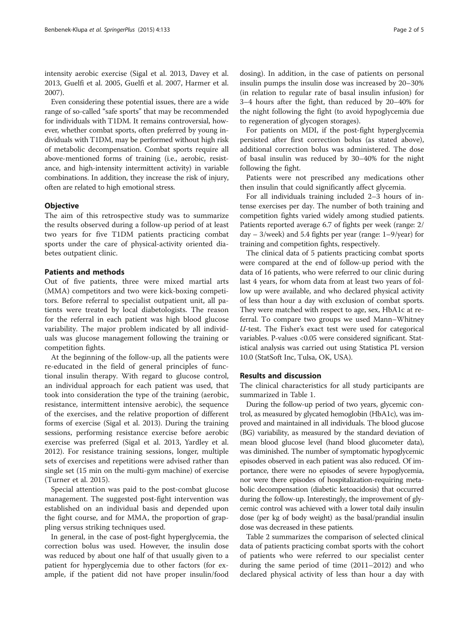intensity aerobic exercise (Sigal et al. [2013](#page-4-0), Davey et al. [2013](#page-4-0), Guelfi et al. [2005](#page-4-0), Guelfi et al. [2007,](#page-4-0) Harmer et al. [2007](#page-4-0)).

Even considering these potential issues, there are a wide range of so-called "safe sports" that may be recommended for individuals with T1DM. It remains controversial, however, whether combat sports, often preferred by young individuals with T1DM, may be performed without high risk of metabolic decompensation. Combat sports require all above-mentioned forms of training (i.e., aerobic, resistance, and high-intensity intermittent activity) in variable combinations. In addition, they increase the risk of injury, often are related to high emotional stress.

#### **Objective**

The aim of this retrospective study was to summarize the results observed during a follow-up period of at least two years for five T1DM patients practicing combat sports under the care of physical-activity oriented diabetes outpatient clinic.

## Patients and methods

Out of five patients, three were mixed martial arts (MMA) competitors and two were kick-boxing competitors. Before referral to specialist outpatient unit, all patients were treated by local diabetologists. The reason for the referral in each patient was high blood glucose variability. The major problem indicated by all individuals was glucose management following the training or competition fights.

At the beginning of the follow-up, all the patients were re-educated in the field of general principles of functional insulin therapy. With regard to glucose control, an individual approach for each patient was used, that took into consideration the type of the training (aerobic, resistance, intermittent intensive aerobic), the sequence of the exercises, and the relative proportion of different forms of exercise (Sigal et al. [2013\)](#page-4-0). During the training sessions, performing resistance exercise before aerobic exercise was preferred (Sigal et al. [2013](#page-4-0), Yardley et al. [2012](#page-4-0)). For resistance training sessions, longer, multiple sets of exercises and repetitions were advised rather than single set (15 min on the multi-gym machine) of exercise (Turner et al. [2015](#page-4-0)).

Special attention was paid to the post-combat glucose management. The suggested post-fight intervention was established on an individual basis and depended upon the fight course, and for MMA, the proportion of grappling versus striking techniques used.

In general, in the case of post-fight hyperglycemia, the correction bolus was used. However, the insulin dose was reduced by about one half of that usually given to a patient for hyperglycemia due to other factors (for example, if the patient did not have proper insulin/food dosing). In addition, in the case of patients on personal insulin pumps the insulin dose was increased by 20–30% (in relation to regular rate of basal insulin infusion) for 3–4 hours after the fight, than reduced by 20–40% for the night following the fight (to avoid hypoglycemia due to regeneration of glycogen storages).

For patients on MDI, if the post-fight hyperglycemia persisted after first correction bolus (as stated above), additional correction bolus was administered. The dose of basal insulin was reduced by 30–40% for the night following the fight.

Patients were not prescribed any medications other then insulin that could significantly affect glycemia.

For all individuals training included 2–3 hours of intense exercises per day. The number of both training and competition fights varied widely among studied patients. Patients reported average 6.7 of fights per week (range: 2/ day – 3/week) and 5.4 fights per year (range: 1–9/year) for training and competition fights, respectively.

The clinical data of 5 patients practicing combat sports were compared at the end of follow-up period with the data of 16 patients, who were referred to our clinic during last 4 years, for whom data from at least two years of follow up were available, and who declared physical activity of less than hour a day with exclusion of combat sports. They were matched with respect to age, sex, HbA1c at referral. To compare two groups we used Mann–Whitney U-test. The Fisher's exact test were used for categorical variables. P-values <0.05 were considered significant. Statistical analysis was carried out using Statistica PL version 10.0 (StatSoft Inc, Tulsa, OK, USA).

## Results and discussion

The clinical characteristics for all study participants are summarized in Table [1](#page-2-0).

During the follow-up period of two years, glycemic control, as measured by glycated hemoglobin (HbA1c), was improved and maintained in all individuals. The blood glucose (BG) variability, as measured by the standard deviation of mean blood glucose level (hand blood glucometer data), was diminished. The number of symptomatic hypoglycemic episodes observed in each patient was also reduced. Of importance, there were no episodes of severe hypoglycemia, nor were there episodes of hospitalization-requiring metabolic decompensation (diabetic ketoacidosis) that occurred during the follow-up. Interestingly, the improvement of glycemic control was achieved with a lower total daily insulin dose (per kg of body weight) as the basal/prandial insulin dose was decreased in these patients.

Table [2](#page-3-0) summarizes the comparison of selected clinical data of patients practicing combat sports with the cohort of patients who were referred to our specialist center during the same period of time (2011–2012) and who declared physical activity of less than hour a day with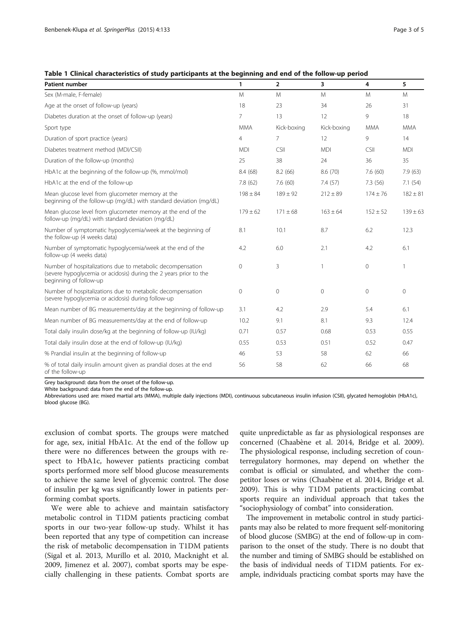<span id="page-2-0"></span>

| Table 1 Clinical characteristics of study participants at the beginning and end of the follow-up period |  |  |  |
|---------------------------------------------------------------------------------------------------------|--|--|--|
|---------------------------------------------------------------------------------------------------------|--|--|--|

| <b>Patient number</b>                                                                                                                                     | $\mathbf{1}$   | $\overline{2}$ | 3            | 4              | 5            |
|-----------------------------------------------------------------------------------------------------------------------------------------------------------|----------------|----------------|--------------|----------------|--------------|
| Sex (M-male, F-female)                                                                                                                                    | M              | M              | M            | M              | M            |
| Age at the onset of follow-up (years)                                                                                                                     | 18             | 23             | 34           | 26             | 31           |
| Diabetes duration at the onset of follow-up (years)                                                                                                       | $\overline{7}$ | 13             | 12           | 9              | 18           |
| Sport type                                                                                                                                                | <b>MMA</b>     | Kick-boxing    | Kick-boxing  | <b>MMA</b>     | <b>MMA</b>   |
| Duration of sport practice (years)                                                                                                                        | $\overline{4}$ | $\overline{7}$ | 12           | 9              | 14           |
| Diabetes treatment method (MDI/CSII)                                                                                                                      | <b>MDI</b>     | CSII           | <b>MDI</b>   | CSII           | <b>MDI</b>   |
| Duration of the follow-up (months)                                                                                                                        | 25             | 38             | 24           | 36             | 35           |
| HbA1c at the beginning of the follow-up (%, mmol/mol)                                                                                                     | 8.4 (68)       | 8.2(66)        | 8.6 (70)     | 7.6(60)        | 7.9 (63)     |
| HbA1c at the end of the follow-up                                                                                                                         | 7.8 (62)       | 7.6(60)        | 7.4(57)      | 7.3(56)        | 7.1(54)      |
| Mean glucose level from glucometer memory at the<br>beginning of the follow-up (mg/dL) with standard deviation (mg/dL)                                    | $198 \pm 84$   | $189 \pm 92$   | $212 \pm 89$ | $174 \pm 76$   | $182 \pm 81$ |
| Mean glucose level from glucometer memory at the end of the<br>follow-up (mg/dL) with standard deviation (mg/dL)                                          | $179 \pm 62$   | $171 \pm 68$   | $163 \pm 64$ | $152 \pm 52$   | $139 \pm 63$ |
| Number of symptomatic hypoglycemia/week at the beginning of<br>the follow-up (4 weeks data)                                                               | 8.1            | 10.1           | 8.7          | 6.2            | 12.3         |
| Number of symptomatic hypoglycemia/week at the end of the<br>follow-up (4 weeks data)                                                                     | 4.2            | 6.0            | 2.1          | 4.2            | 6.1          |
| Number of hospitalizations due to metabolic decompensation<br>(severe hypoglycemia or acidosis) during the 2 years prior to the<br>beginning of follow-up | $\overline{0}$ | 3              | $\mathbf{1}$ | $\overline{0}$ |              |
| Number of hospitalizations due to metabolic decompensation<br>(severe hypoglycemia or acidosis) during follow-up                                          | $\mathbf{0}$   | $\mathbf 0$    | $\Omega$     | $\mathbf{0}$   | $\Omega$     |
| Mean number of BG measurements/day at the beginning of follow-up                                                                                          | 3.1            | 4.2            | 2.9          | 5.4            | 6.1          |
| Mean number of BG measurements/day at the end of follow-up                                                                                                | 10.2           | 9.1            | 8.1          | 9.3            | 12.4         |
| Total daily insulin dose/kg at the beginning of follow-up (IU/kg)                                                                                         | 0.71           | 0.57           | 0.68         | 0.53           | 0.55         |
| Total daily insulin dose at the end of follow-up (IU/kg)                                                                                                  | 0.55           | 0.53           | 0.51         | 0.52           | 0.47         |
| % Prandial insulin at the beginning of follow-up                                                                                                          | 46             | 53             | 58           | 62             | 66           |
| % of total daily insulin amount given as prandial doses at the end<br>of the follow-up                                                                    | 56             | 58             | 62           | 66             | 68           |

Grey background: data from the onset of the follow-up.

White background: data from the end of the follow-up.

Abbreviations used are: mixed martial arts (MMA), multiple daily injections (MDI), continuous subcutaneous insulin infusion (CSII), glycated hemoglobin (HbA1c), blood glucose (BG).

exclusion of combat sports. The groups were matched for age, sex, initial HbA1c. At the end of the follow up there were no differences between the groups with respect to HbA1c, however patients practicing combat sports performed more self blood glucose measurements to achieve the same level of glycemic control. The dose of insulin per kg was significantly lower in patients performing combat sports.

We were able to achieve and maintain satisfactory metabolic control in T1DM patients practicing combat sports in our two-year follow-up study. Whilst it has been reported that any type of competition can increase the risk of metabolic decompensation in T1DM patients (Sigal et al. [2013](#page-4-0), Murillo et al. [2010,](#page-4-0) Macknight et al. [2009](#page-4-0), Jimenez et al. [2007\)](#page-4-0), combat sports may be especially challenging in these patients. Combat sports are quite unpredictable as far as physiological responses are concerned (Chaabène et al. [2014,](#page-4-0) Bridge et al. [2009](#page-4-0)). The physiological response, including secretion of counterregulatory hormones, may depend on whether the combat is official or simulated, and whether the competitor loses or wins (Chaabène et al. [2014,](#page-4-0) Bridge et al. [2009](#page-4-0)). This is why T1DM patients practicing combat sports require an individual approach that takes the "sociophysiology of combat" into consideration.

The improvement in metabolic control in study participants may also be related to more frequent self-monitoring of blood glucose (SMBG) at the end of follow-up in comparison to the onset of the study. There is no doubt that the number and timing of SMBG should be established on the basis of individual needs of T1DM patients. For example, individuals practicing combat sports may have the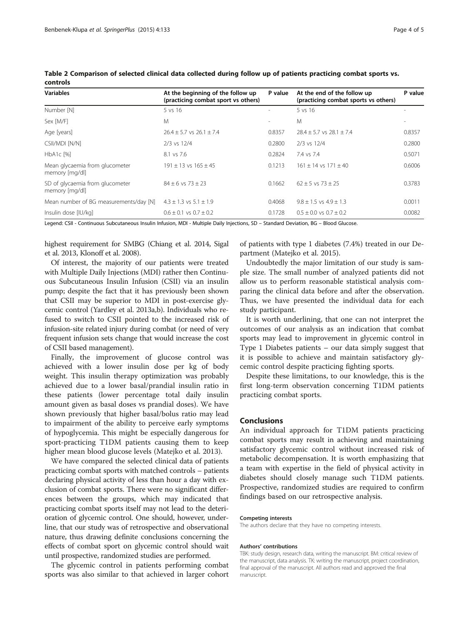| <b>Variables</b>                                  | At the beginning of the follow up<br>(practicing combat sport vs others) | P value                  | At the end of the follow up<br>(practicing combat sports vs others) | P value |
|---------------------------------------------------|--------------------------------------------------------------------------|--------------------------|---------------------------------------------------------------------|---------|
| Number [N]                                        | 5 vs 16                                                                  | $\overline{\phantom{a}}$ | $5 \text{ vs } 16$                                                  |         |
| Sex [M/F]                                         | M                                                                        | $\overline{\phantom{a}}$ | M                                                                   |         |
| Age [years]                                       | $26.4 + 5.7$ vs $26.1 + 7.4$                                             | 0.8357                   | $28.4 + 5.7$ vs $28.1 + 7.4$                                        | 0.8357  |
| CSII/MDI [N/N]                                    | 2/3 vs 12/4                                                              | 0.2800                   | 2/3 vs 12/4                                                         | 0.2800  |
| $HbA1c$ [%]                                       | 8.1 vs 7.6                                                               | 0.2824                   | 7.4 vs 7.4                                                          | 0.5071  |
| Mean glycaemia from glucometer<br>memory [mg/dl]  | $191 + 13$ vs $165 + 45$                                                 | 0.1213                   | $161 + 14$ vs $171 + 40$                                            | 0.6006  |
| SD of glycaemia from glucometer<br>memory [mg/dl] | $84 + 6$ vs $73 + 23$                                                    | 0.1662                   | $62 + 5$ vs $73 + 25$                                               | 0.3783  |
| Mean number of BG measurements/day [N]            | $4.3 \pm 1.3$ vs $5.1 \pm 1.9$                                           | 0.4068                   | $9.8 + 1.5$ vs $4.9 + 1.3$                                          | 0.0011  |
| Insulin dose [IU/kg]                              | $0.6 \pm 0.1$ vs $0.7 \pm 0.2$                                           | 0.1728                   | $0.5 \pm 0.0$ vs $0.7 \pm 0.2$                                      | 0.0082  |

<span id="page-3-0"></span>Table 2 Comparison of selected clinical data collected during follow up of patients practicing combat sports vs. controls

Legend: CSII - Continuous Subcutaneous Insulin Infusion, MDI - Multiple Daily Injections, SD – Standard Deviation, BG – Blood Glucose.

highest requirement for SMBG (Chiang et al. [2014,](#page-4-0) Sigal et al. [2013,](#page-4-0) Klonoff et al. [2008\)](#page-4-0).

Of interest, the majority of our patients were treated with Multiple Daily Injections (MDI) rather then Continuous Subcutaneous Insulin Infusion (CSII) via an insulin pump; despite the fact that it has previously been shown that CSII may be superior to MDI in post-exercise glycemic control (Yardley et al. [2013a,b](#page-4-0)). Individuals who refused to switch to CSII pointed to the increased risk of infusion-site related injury during combat (or need of very frequent infusion sets change that would increase the cost of CSII based management).

Finally, the improvement of glucose control was achieved with a lower insulin dose per kg of body weight. This insulin therapy optimization was probably achieved due to a lower basal/prandial insulin ratio in these patients (lower percentage total daily insulin amount given as basal doses vs prandial doses). We have shown previously that higher basal/bolus ratio may lead to impairment of the ability to perceive early symptoms of hypoglycemia. This might be especially dangerous for sport-practicing T1DM patients causing them to keep higher mean blood glucose levels (Matejko et al. [2013](#page-4-0)).

We have compared the selected clinical data of patients practicing combat sports with matched controls – patients declaring physical activity of less than hour a day with exclusion of combat sports. There were no significant differences between the groups, which may indicated that practicing combat sports itself may not lead to the deterioration of glycemic control. One should, however, underline, that our study was of retrospective and observational nature, thus drawing definite conclusions concerning the effects of combat sport on glycemic control should wait until prospective, randomized studies are performed.

The glycemic control in patients performing combat sports was also similar to that achieved in larger cohort

of patients with type 1 diabetes (7.4%) treated in our Department (Matejko et al. [2015](#page-4-0)).

Undoubtedly the major limitation of our study is sample size. The small number of analyzed patients did not allow us to perform reasonable statistical analysis comparing the clinical data before and after the observation. Thus, we have presented the individual data for each study participant.

It is worth underlining, that one can not interpret the outcomes of our analysis as an indication that combat sports may lead to improvement in glycemic control in Type 1 Diabetes patients – our data simply suggest that it is possible to achieve and maintain satisfactory glycemic control despite practicing fighting sports.

Despite these limitations, to our knowledge, this is the first long-term observation concerning T1DM patients practicing combat sports.

## Conclusions

An individual approach for T1DM patients practicing combat sports may result in achieving and maintaining satisfactory glycemic control without increased risk of metabolic decompensation. It is worth emphasizing that a team with expertise in the field of physical activity in diabetes should closely manage such T1DM patients. Prospective, randomized studies are required to confirm findings based on our retrospective analysis.

#### Competing interests

The authors declare that they have no competing interests.

#### Authors' contributions

TBK: study design, research data, writing the manuscript. BM: critical review of the manuscript, data analysis. TK: writing the manuscript, project coordination, final approval of the manuscript. All authors read and approved the final manuscript.